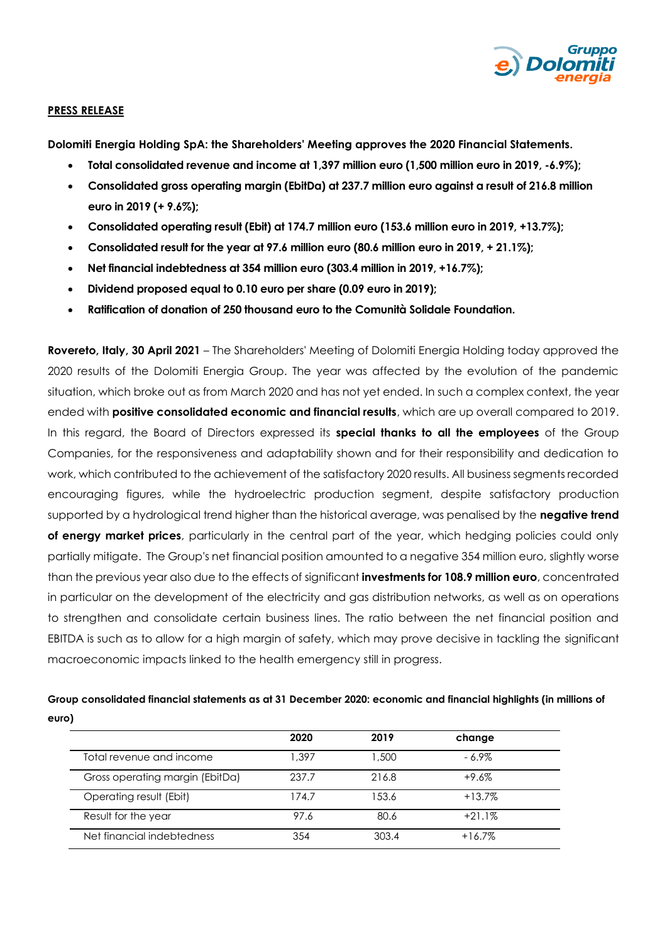

## **PRESS RELEASE**

**Dolomiti Energia Holding SpA: the Shareholders' Meeting approves the 2020 Financial Statements.**

- **Total consolidated revenue and income at 1,397 million euro (1,500 million euro in 2019, -6.9%);**
- **Consolidated gross operating margin (EbitDa) at 237.7 million euro against a result of 216.8 million euro in 2019 (+ 9.6%);**
- **Consolidated operating result (Ebit) at 174.7 million euro (153.6 million euro in 2019, +13.7%);**
- **Consolidated result for the year at 97.6 million euro (80.6 million euro in 2019, + 21.1%);**
- **Net financial indebtedness at 354 million euro (303.4 million in 2019, +16.7%);**
- **Dividend proposed equal to 0.10 euro per share (0.09 euro in 2019);**
- **Ratification of donation of 250 thousand euro to the Comunità Solidale Foundation.**

**Rovereto, Italy, 30 April 2021** – The Shareholders' Meeting of Dolomiti Energia Holding today approved the 2020 results of the Dolomiti Energia Group. The year was affected by the evolution of the pandemic situation, which broke out as from March 2020 and has not yet ended. In such a complex context, the year ended with **positive consolidated economic and financial results**, which are up overall compared to 2019. In this regard, the Board of Directors expressed its **special thanks to all the employees** of the Group Companies, for the responsiveness and adaptability shown and for their responsibility and dedication to work, which contributed to the achievement of the satisfactory 2020 results. All business segments recorded encouraging figures, while the hydroelectric production segment, despite satisfactory production supported by a hydrological trend higher than the historical average, was penalised by the **negative trend of energy market prices**, particularly in the central part of the year, which hedging policies could only partially mitigate. The Group's net financial position amounted to a negative 354 million euro, slightly worse than the previous year also due to the effects of significant **investments for 108.9 million euro**, concentrated in particular on the development of the electricity and gas distribution networks, as well as on operations to strengthen and consolidate certain business lines. The ratio between the net financial position and EBITDA is such as to allow for a high margin of safety, which may prove decisive in tackling the significant macroeconomic impacts linked to the health emergency still in progress.

# **Group consolidated financial statements as at 31 December 2020: economic and financial highlights (in millions of euro)**

|                                 | 2020  | 2019  | change   |  |
|---------------------------------|-------|-------|----------|--|
| Total revenue and income        | 1.397 | 1,500 | - 6.9%   |  |
| Gross operating margin (EbitDa) | 237.7 | 216.8 | $+9.6%$  |  |
| Operating result (Ebit)         | 174.7 | 153.6 | $+13.7%$ |  |
| Result for the year             | 97.6  | 80.6  | $+21.1%$ |  |
| Net financial indebtedness      | 354   | 303.4 | $+16.7%$ |  |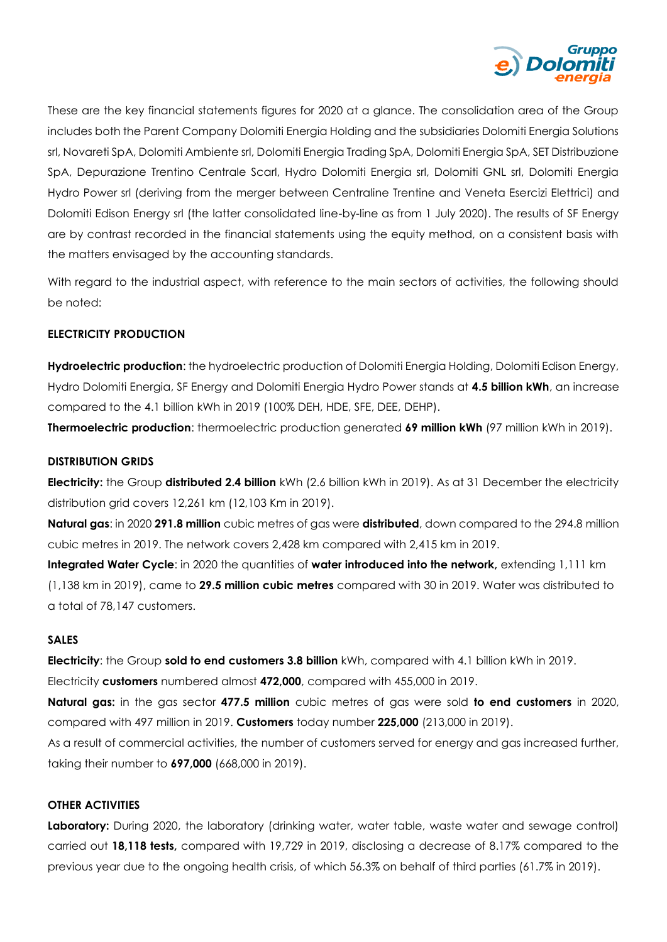

These are the key financial statements figures for 2020 at a glance. The consolidation area of the Group includes both the Parent Company Dolomiti Energia Holding and the subsidiaries Dolomiti Energia Solutions srl, Novareti SpA, Dolomiti Ambiente srl, Dolomiti Energia Trading SpA, Dolomiti Energia SpA, SET Distribuzione SpA, Depurazione Trentino Centrale Scarl, Hydro Dolomiti Energia srl, Dolomiti GNL srl, Dolomiti Energia Hydro Power srl (deriving from the merger between Centraline Trentine and Veneta Esercizi Elettrici) and Dolomiti Edison Energy srl (the latter consolidated line-by-line as from 1 July 2020). The results of SF Energy are by contrast recorded in the financial statements using the equity method, on a consistent basis with the matters envisaged by the accounting standards.

With regard to the industrial aspect, with reference to the main sectors of activities, the following should be noted:

## **ELECTRICITY PRODUCTION**

**Hydroelectric production**: the hydroelectric production of Dolomiti Energia Holding, Dolomiti Edison Energy, Hydro Dolomiti Energia, SF Energy and Dolomiti Energia Hydro Power stands at **4.5 billion kWh**, an increase compared to the 4.1 billion kWh in 2019 (100% DEH, HDE, SFE, DEE, DEHP).

**Thermoelectric production**: thermoelectric production generated **69 million kWh** (97 million kWh in 2019).

## **DISTRIBUTION GRIDS**

**Electricity:** the Group **distributed 2.4 billion** kWh (2.6 billion kWh in 2019). As at 31 December the electricity distribution grid covers 12,261 km (12,103 Km in 2019).

**Natural gas**: in 2020 **291.8 million** cubic metres of gas were **distributed**, down compared to the 294.8 million cubic metres in 2019. The network covers 2,428 km compared with 2,415 km in 2019.

**Integrated Water Cycle**: in 2020 the quantities of **water introduced into the network,** extending 1,111 km (1,138 km in 2019), came to **29.5 million cubic metres** compared with 30 in 2019. Water was distributed to a total of 78,147 customers.

## **SALES**

**Electricity**: the Group **sold to end customers 3.8 billion** kWh, compared with 4.1 billion kWh in 2019. Electricity **customers** numbered almost **472,000**, compared with 455,000 in 2019.

**Natural gas:** in the gas sector **477.5 million** cubic metres of gas were sold **to end customers** in 2020, compared with 497 million in 2019. **Customers** today number **225,000** (213,000 in 2019).

As a result of commercial activities, the number of customers served for energy and gas increased further, taking their number to **697,000** (668,000 in 2019).

## **OTHER ACTIVITIES**

**Laboratory:** During 2020, the laboratory (drinking water, water table, waste water and sewage control) carried out **18,118 tests,** compared with 19,729 in 2019, disclosing a decrease of 8.17% compared to the previous year due to the ongoing health crisis, of which 56.3% on behalf of third parties (61.7% in 2019).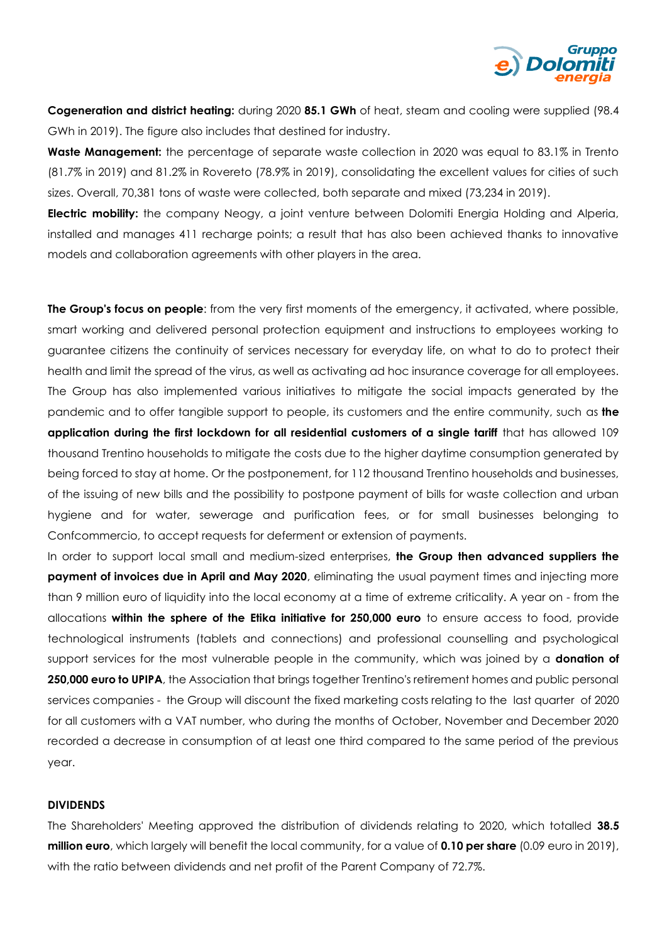

**Cogeneration and district heating:** during 2020 **85.1 GWh** of heat, steam and cooling were supplied (98.4 GWh in 2019). The figure also includes that destined for industry.

**Waste Management:** the percentage of separate waste collection in 2020 was equal to 83.1% in Trento (81.7% in 2019) and 81.2% in Rovereto (78.9% in 2019), consolidating the excellent values for cities of such sizes. Overall, 70,381 tons of waste were collected, both separate and mixed (73,234 in 2019).

**Electric mobility:** the company Neogy, a joint venture between Dolomiti Energia Holding and Alperia, installed and manages 411 recharge points; a result that has also been achieved thanks to innovative models and collaboration agreements with other players in the area.

**The Group's focus on people**: from the very first moments of the emergency, it activated, where possible, smart working and delivered personal protection equipment and instructions to employees working to guarantee citizens the continuity of services necessary for everyday life, on what to do to protect their health and limit the spread of the virus, as well as activating ad hoc insurance coverage for all employees. The Group has also implemented various initiatives to mitigate the social impacts generated by the pandemic and to offer tangible support to people, its customers and the entire community, such as **the application during the first lockdown for all residential customers of a single tariff** that has allowed 109 thousand Trentino households to mitigate the costs due to the higher daytime consumption generated by being forced to stay at home. Or the postponement, for 112 thousand Trentino households and businesses, of the issuing of new bills and the possibility to postpone payment of bills for waste collection and urban hygiene and for water, sewerage and purification fees, or for small businesses belonging to Confcommercio, to accept requests for deferment or extension of payments.

In order to support local small and medium-sized enterprises, **the Group then advanced suppliers the payment of invoices due in April and May 2020**, eliminating the usual payment times and injecting more than 9 million euro of liquidity into the local economy at a time of extreme criticality. A year on - from the allocations **within the sphere of the Etika initiative for 250,000 euro** to ensure access to food, provide technological instruments (tablets and connections) and professional counselling and psychological support services for the most vulnerable people in the community, which was joined by a **donation of 250,000 euro to UPIPA**, the Association that brings together Trentino's retirement homes and public personal services companies - the Group will discount the fixed marketing costs relating to the last quarter of 2020 for all customers with a VAT number, who during the months of October, November and December 2020 recorded a decrease in consumption of at least one third compared to the same period of the previous year.

#### **DIVIDENDS**

The Shareholders' Meeting approved the distribution of dividends relating to 2020, which totalled **38.5 million euro**, which largely will benefit the local community, for a value of **0.10 per share** (0.09 euro in 2019), with the ratio between dividends and net profit of the Parent Company of 72.7%.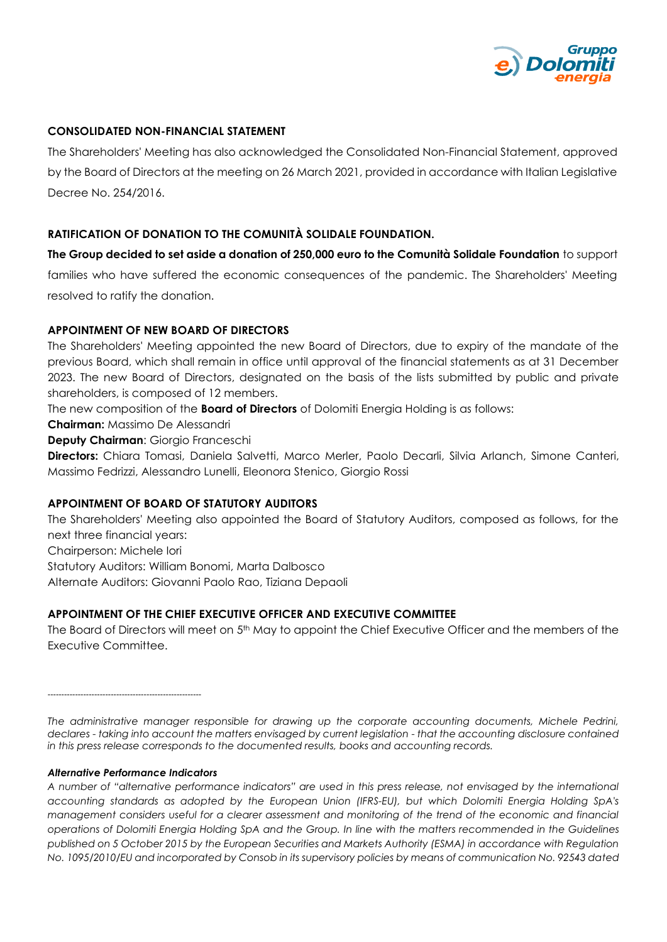

## **CONSOLIDATED NON-FINANCIAL STATEMENT**

The Shareholders' Meeting has also acknowledged the Consolidated Non-Financial Statement, approved by the Board of Directors at the meeting on 26 March 2021, provided in accordance with Italian Legislative Decree No. 254/2016.

## **RATIFICATION OF DONATION TO THE COMUNITÀ SOLIDALE FOUNDATION.**

**The Group decided to set aside a donation of 250,000 euro to the Comunità Solidale Foundation** to support families who have suffered the economic consequences of the pandemic. The Shareholders' Meeting resolved to ratify the donation.

## **APPOINTMENT OF NEW BOARD OF DIRECTORS**

The Shareholders' Meeting appointed the new Board of Directors, due to expiry of the mandate of the previous Board, which shall remain in office until approval of the financial statements as at 31 December 2023. The new Board of Directors, designated on the basis of the lists submitted by public and private shareholders, is composed of 12 members.

The new composition of the **Board of Directors** of Dolomiti Energia Holding is as follows:

**Chairman:** Massimo De Alessandri

**Deputy Chairman**: Giorgio Franceschi

**Directors:** Chiara Tomasi, Daniela Salvetti, Marco Merler, Paolo Decarli, Silvia Arlanch, Simone Canteri, Massimo Fedrizzi, Alessandro Lunelli, Eleonora Stenico, Giorgio Rossi

## **APPOINTMENT OF BOARD OF STATUTORY AUDITORS**

The Shareholders' Meeting also appointed the Board of Statutory Auditors, composed as follows, for the next three financial years:

Chairperson: Michele Iori

Statutory Auditors: William Bonomi, Marta Dalbosco

Alternate Auditors: Giovanni Paolo Rao, Tiziana Depaoli

## **APPOINTMENT OF THE CHIEF EXECUTIVE OFFICER AND EXECUTIVE COMMITTEE**

The Board of Directors will meet on 5<sup>th</sup> May to appoint the Chief Executive Officer and the members of the Executive Committee.

--------------------------------------------------------

*The administrative manager responsible for drawing up the corporate accounting documents, Michele Pedrini, declares - taking into account the matters envisaged by current legislation - that the accounting disclosure contained in this press release corresponds to the documented results, books and accounting records.* 

#### *Alternative Performance Indicators*

*A number of "alternative performance indicators" are used in this press release, not envisaged by the international accounting standards as adopted by the European Union (IFRS-EU), but which Dolomiti Energia Holding SpA's management considers useful for a clearer assessment and monitoring of the trend of the economic and financial operations of Dolomiti Energia Holding SpA and the Group. In line with the matters recommended in the Guidelines published on 5 October 2015 by the European Securities and Markets Authority (ESMA) in accordance with Regulation No. 1095/2010/EU and incorporated by Consob in its supervisory policies by means of communication No. 92543 dated*